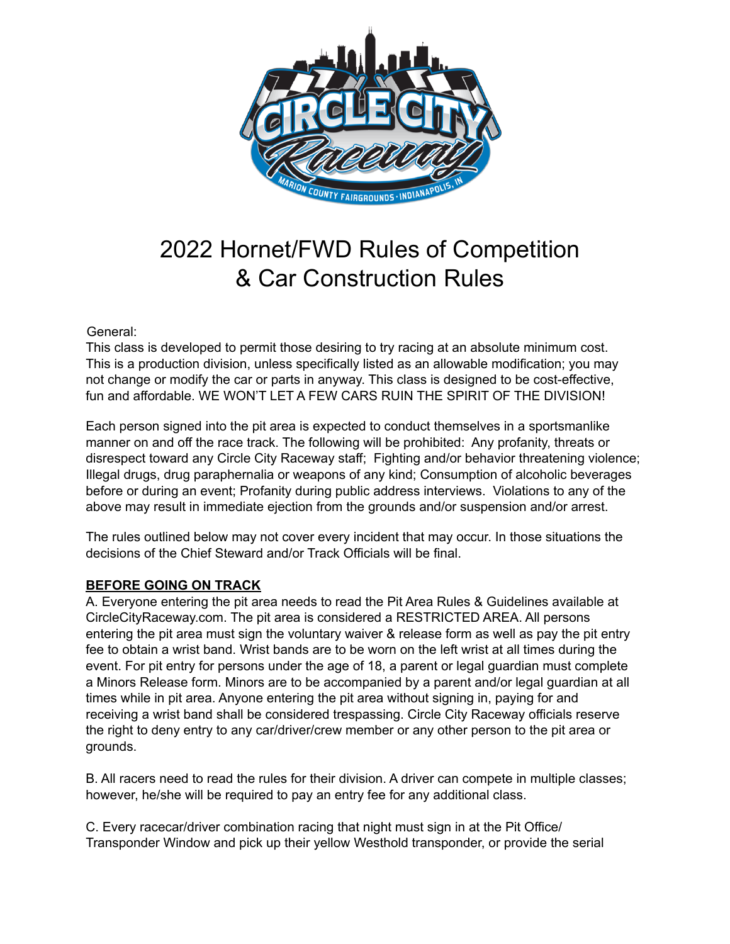

# 2022 Hornet/FWD Rules of Competition & Car Construction Rules

General:

This class is developed to permit those desiring to try racing at an absolute minimum cost. This is a production division, unless specifically listed as an allowable modification; you may not change or modify the car or parts in anyway. This class is designed to be cost-effective, fun and affordable. WE WON'T LET A FEW CARS RUIN THE SPIRIT OF THE DIVISION!

Each person signed into the pit area is expected to conduct themselves in a sportsmanlike manner on and off the race track. The following will be prohibited: Any profanity, threats or disrespect toward any Circle City Raceway staff; Fighting and/or behavior threatening violence; Illegal drugs, drug paraphernalia or weapons of any kind; Consumption of alcoholic beverages before or during an event; Profanity during public address interviews. Violations to any of the above may result in immediate ejection from the grounds and/or suspension and/or arrest.

The rules outlined below may not cover every incident that may occur. In those situations the decisions of the Chief Steward and/or Track Officials will be final.

# **BEFORE GOING ON TRACK**

A. Everyone entering the pit area needs to read the Pit Area Rules & Guidelines available at CircleCityRaceway.com. The pit area is considered a RESTRICTED AREA. All persons entering the pit area must sign the voluntary waiver & release form as well as pay the pit entry fee to obtain a wrist band. Wrist bands are to be worn on the left wrist at all times during the event. For pit entry for persons under the age of 18, a parent or legal guardian must complete a Minors Release form. Minors are to be accompanied by a parent and/or legal guardian at all times while in pit area. Anyone entering the pit area without signing in, paying for and receiving a wrist band shall be considered trespassing. Circle City Raceway officials reserve the right to deny entry to any car/driver/crew member or any other person to the pit area or grounds.

B. All racers need to read the rules for their division. A driver can compete in multiple classes; however, he/she will be required to pay an entry fee for any additional class.

C. Every racecar/driver combination racing that night must sign in at the Pit Office/ Transponder Window and pick up their yellow Westhold transponder, or provide the serial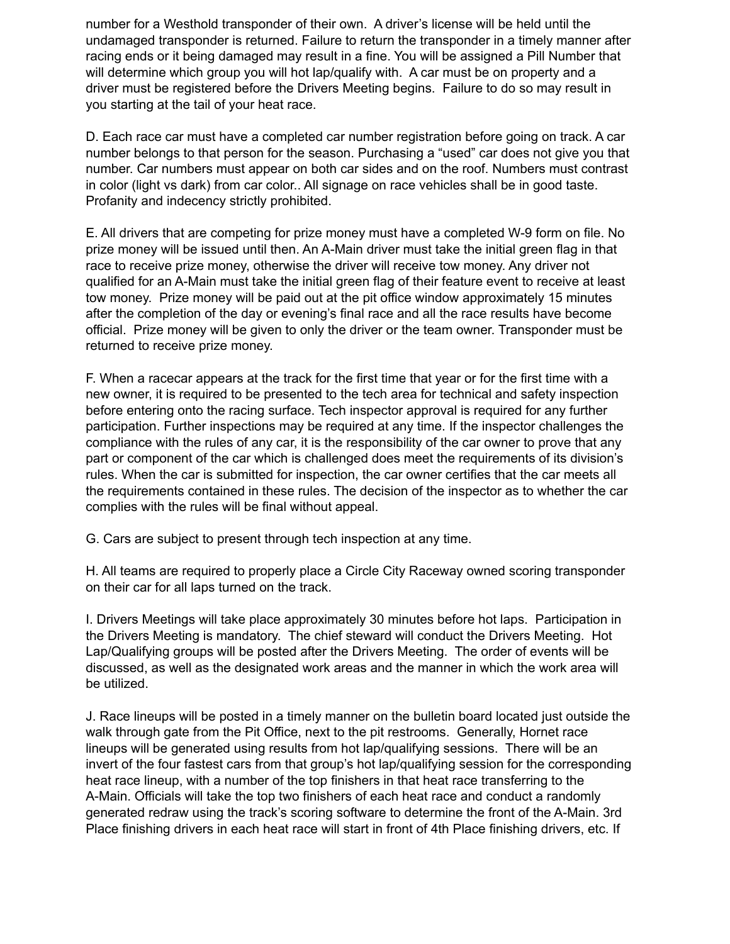number for a Westhold transponder of their own. A driver's license will be held until the undamaged transponder is returned. Failure to return the transponder in a timely manner after racing ends or it being damaged may result in a fine. You will be assigned a Pill Number that will determine which group you will hot lap/qualify with. A car must be on property and a driver must be registered before the Drivers Meeting begins. Failure to do so may result in you starting at the tail of your heat race.

D. Each race car must have a completed car number registration before going on track. A car number belongs to that person for the season. Purchasing a "used" car does not give you that number. Car numbers must appear on both car sides and on the roof. Numbers must contrast in color (light vs dark) from car color.. All signage on race vehicles shall be in good taste. Profanity and indecency strictly prohibited.

E. All drivers that are competing for prize money must have a completed W-9 form on file. No prize money will be issued until then. An A-Main driver must take the initial green flag in that race to receive prize money, otherwise the driver will receive tow money. Any driver not qualified for an A-Main must take the initial green flag of their feature event to receive at least tow money. Prize money will be paid out at the pit office window approximately 15 minutes after the completion of the day or evening's final race and all the race results have become official. Prize money will be given to only the driver or the team owner. Transponder must be returned to receive prize money.

F. When a racecar appears at the track for the first time that year or for the first time with a new owner, it is required to be presented to the tech area for technical and safety inspection before entering onto the racing surface. Tech inspector approval is required for any further participation. Further inspections may be required at any time. If the inspector challenges the compliance with the rules of any car, it is the responsibility of the car owner to prove that any part or component of the car which is challenged does meet the requirements of its division's rules. When the car is submitted for inspection, the car owner certifies that the car meets all the requirements contained in these rules. The decision of the inspector as to whether the car complies with the rules will be final without appeal.

G. Cars are subject to present through tech inspection at any time.

H. All teams are required to properly place a Circle City Raceway owned scoring transponder on their car for all laps turned on the track.

I. Drivers Meetings will take place approximately 30 minutes before hot laps. Participation in the Drivers Meeting is mandatory. The chief steward will conduct the Drivers Meeting. Hot Lap/Qualifying groups will be posted after the Drivers Meeting. The order of events will be discussed, as well as the designated work areas and the manner in which the work area will be utilized.

J. Race lineups will be posted in a timely manner on the bulletin board located just outside the walk through gate from the Pit Office, next to the pit restrooms. Generally, Hornet race lineups will be generated using results from hot lap/qualifying sessions. There will be an invert of the four fastest cars from that group's hot lap/qualifying session for the corresponding heat race lineup, with a number of the top finishers in that heat race transferring to the A-Main. Officials will take the top two finishers of each heat race and conduct a randomly generated redraw using the track's scoring software to determine the front of the A-Main. 3rd Place finishing drivers in each heat race will start in front of 4th Place finishing drivers, etc. If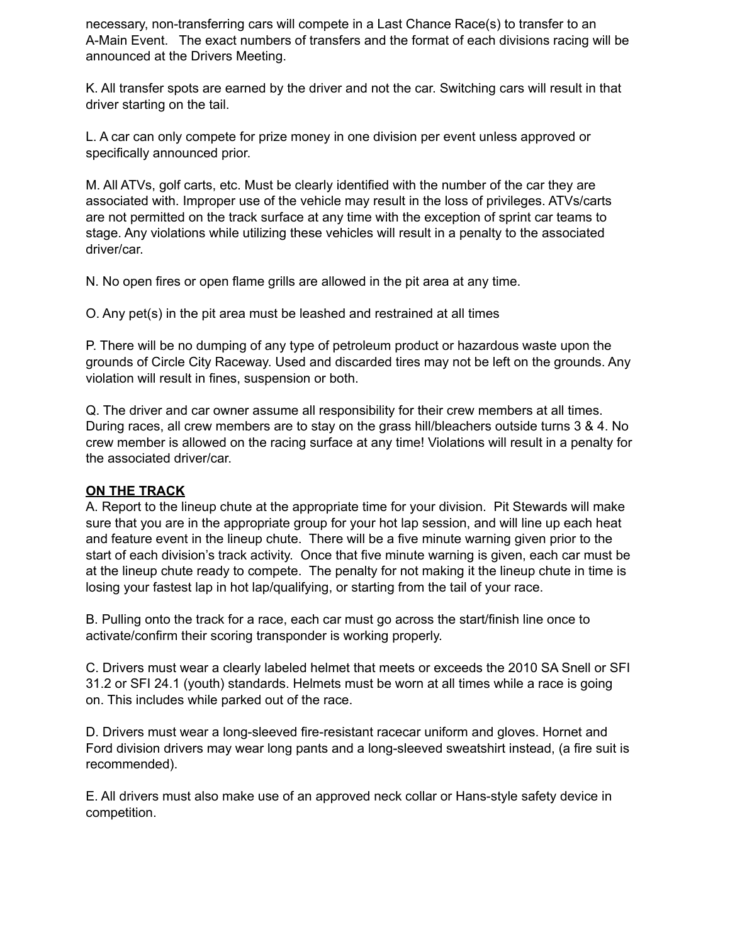necessary, non-transferring cars will compete in a Last Chance Race(s) to transfer to an A-Main Event. The exact numbers of transfers and the format of each divisions racing will be announced at the Drivers Meeting.

K. All transfer spots are earned by the driver and not the car. Switching cars will result in that driver starting on the tail.

L. A car can only compete for prize money in one division per event unless approved or specifically announced prior.

M. All ATVs, golf carts, etc. Must be clearly identified with the number of the car they are associated with. Improper use of the vehicle may result in the loss of privileges. ATVs/carts are not permitted on the track surface at any time with the exception of sprint car teams to stage. Any violations while utilizing these vehicles will result in a penalty to the associated driver/car.

N. No open fires or open flame grills are allowed in the pit area at any time.

O. Any pet(s) in the pit area must be leashed and restrained at all times

P. There will be no dumping of any type of petroleum product or hazardous waste upon the grounds of Circle City Raceway. Used and discarded tires may not be left on the grounds. Any violation will result in fines, suspension or both.

Q. The driver and car owner assume all responsibility for their crew members at all times. During races, all crew members are to stay on the grass hill/bleachers outside turns 3 & 4. No crew member is allowed on the racing surface at any time! Violations will result in a penalty for the associated driver/car.

## **ON THE TRACK**

A. Report to the lineup chute at the appropriate time for your division. Pit Stewards will make sure that you are in the appropriate group for your hot lap session, and will line up each heat and feature event in the lineup chute. There will be a five minute warning given prior to the start of each division's track activity. Once that five minute warning is given, each car must be at the lineup chute ready to compete. The penalty for not making it the lineup chute in time is losing your fastest lap in hot lap/qualifying, or starting from the tail of your race.

B. Pulling onto the track for a race, each car must go across the start/finish line once to activate/confirm their scoring transponder is working properly.

C. Drivers must wear a clearly labeled helmet that meets or exceeds the 2010 SA Snell or SFI 31.2 or SFI 24.1 (youth) standards. Helmets must be worn at all times while a race is going on. This includes while parked out of the race.

D. Drivers must wear a long-sleeved fire-resistant racecar uniform and gloves. Hornet and Ford division drivers may wear long pants and a long-sleeved sweatshirt instead, (a fire suit is recommended).

E. All drivers must also make use of an approved neck collar or Hans-style safety device in competition.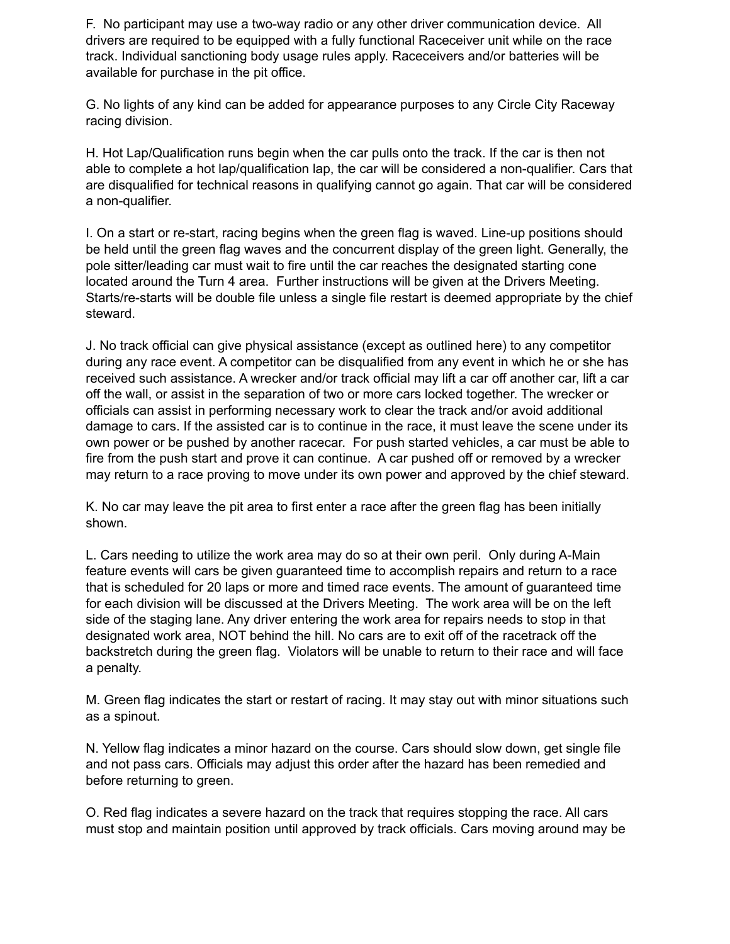F. No participant may use a two-way radio or any other driver communication device. All drivers are required to be equipped with a fully functional Raceceiver unit while on the race track. Individual sanctioning body usage rules apply. Raceceivers and/or batteries will be available for purchase in the pit office.

G. No lights of any kind can be added for appearance purposes to any Circle City Raceway racing division.

H. Hot Lap/Qualification runs begin when the car pulls onto the track. If the car is then not able to complete a hot lap/qualification lap, the car will be considered a non-qualifier. Cars that are disqualified for technical reasons in qualifying cannot go again. That car will be considered a non-qualifier.

I. On a start or re-start, racing begins when the green flag is waved. Line-up positions should be held until the green flag waves and the concurrent display of the green light. Generally, the pole sitter/leading car must wait to fire until the car reaches the designated starting cone located around the Turn 4 area. Further instructions will be given at the Drivers Meeting. Starts/re-starts will be double file unless a single file restart is deemed appropriate by the chief steward.

J. No track official can give physical assistance (except as outlined here) to any competitor during any race event. A competitor can be disqualified from any event in which he or she has received such assistance. A wrecker and/or track official may lift a car off another car, lift a car off the wall, or assist in the separation of two or more cars locked together. The wrecker or officials can assist in performing necessary work to clear the track and/or avoid additional damage to cars. If the assisted car is to continue in the race, it must leave the scene under its own power or be pushed by another racecar. For push started vehicles, a car must be able to fire from the push start and prove it can continue. A car pushed off or removed by a wrecker may return to a race proving to move under its own power and approved by the chief steward.

K. No car may leave the pit area to first enter a race after the green flag has been initially shown.

L. Cars needing to utilize the work area may do so at their own peril. Only during A-Main feature events will cars be given guaranteed time to accomplish repairs and return to a race that is scheduled for 20 laps or more and timed race events. The amount of guaranteed time for each division will be discussed at the Drivers Meeting. The work area will be on the left side of the staging lane. Any driver entering the work area for repairs needs to stop in that designated work area, NOT behind the hill. No cars are to exit off of the racetrack off the backstretch during the green flag. Violators will be unable to return to their race and will face a penalty.

M. Green flag indicates the start or restart of racing. It may stay out with minor situations such as a spinout.

N. Yellow flag indicates a minor hazard on the course. Cars should slow down, get single file and not pass cars. Officials may adjust this order after the hazard has been remedied and before returning to green.

O. Red flag indicates a severe hazard on the track that requires stopping the race. All cars must stop and maintain position until approved by track officials. Cars moving around may be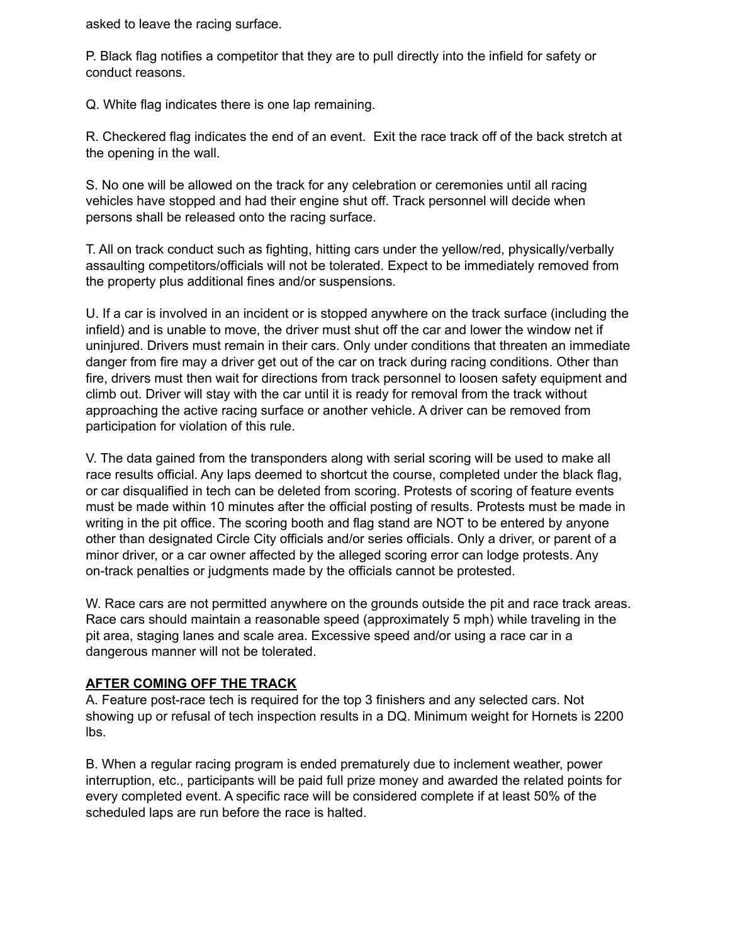asked to leave the racing surface.

P. Black flag notifies a competitor that they are to pull directly into the infield for safety or conduct reasons.

Q. White flag indicates there is one lap remaining.

R. Checkered flag indicates the end of an event. Exit the race track off of the back stretch at the opening in the wall.

S. No one will be allowed on the track for any celebration or ceremonies until all racing vehicles have stopped and had their engine shut off. Track personnel will decide when persons shall be released onto the racing surface.

T. All on track conduct such as fighting, hitting cars under the yellow/red, physically/verbally assaulting competitors/officials will not be tolerated. Expect to be immediately removed from the property plus additional fines and/or suspensions.

U. If a car is involved in an incident or is stopped anywhere on the track surface (including the infield) and is unable to move, the driver must shut off the car and lower the window net if uninjured. Drivers must remain in their cars. Only under conditions that threaten an immediate danger from fire may a driver get out of the car on track during racing conditions. Other than fire, drivers must then wait for directions from track personnel to loosen safety equipment and climb out. Driver will stay with the car until it is ready for removal from the track without approaching the active racing surface or another vehicle. A driver can be removed from participation for violation of this rule.

V. The data gained from the transponders along with serial scoring will be used to make all race results official. Any laps deemed to shortcut the course, completed under the black flag, or car disqualified in tech can be deleted from scoring. Protests of scoring of feature events must be made within 10 minutes after the official posting of results. Protests must be made in writing in the pit office. The scoring booth and flag stand are NOT to be entered by anyone other than designated Circle City officials and/or series officials. Only a driver, or parent of a minor driver, or a car owner affected by the alleged scoring error can lodge protests. Any on-track penalties or judgments made by the officials cannot be protested.

W. Race cars are not permitted anywhere on the grounds outside the pit and race track areas. Race cars should maintain a reasonable speed (approximately 5 mph) while traveling in the pit area, staging lanes and scale area. Excessive speed and/or using a race car in a dangerous manner will not be tolerated.

# **AFTER COMING OFF THE TRACK**

A. Feature post-race tech is required for the top 3 finishers and any selected cars. Not showing up or refusal of tech inspection results in a DQ. Minimum weight for Hornets is 2200 lbs.

B. When a regular racing program is ended prematurely due to inclement weather, power interruption, etc., participants will be paid full prize money and awarded the related points for every completed event. A specific race will be considered complete if at least 50% of the scheduled laps are run before the race is halted.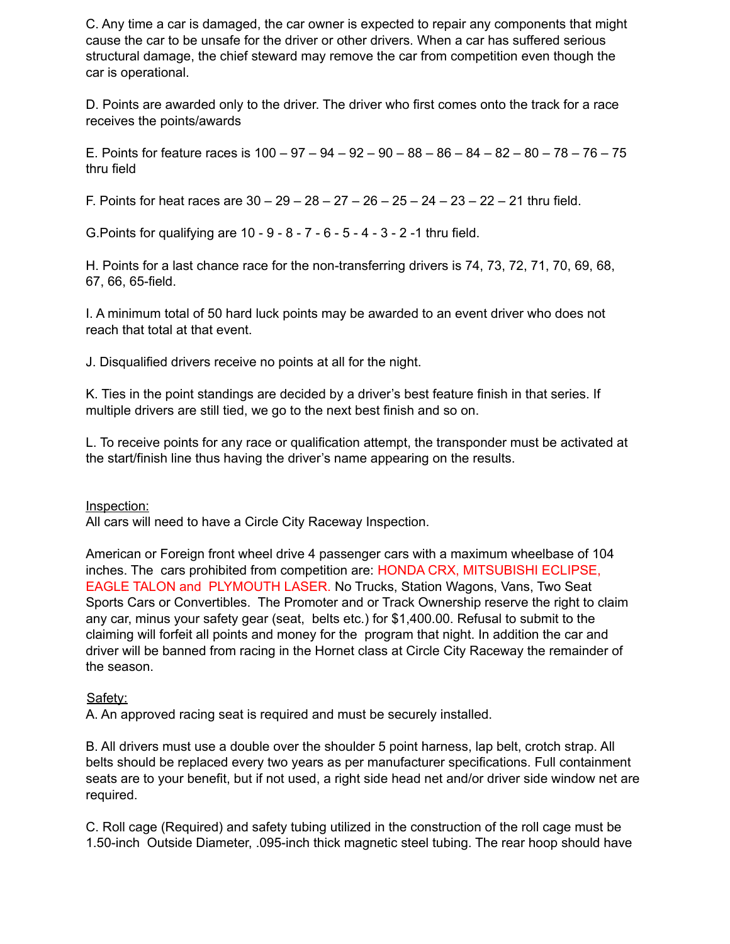C. Any time a car is damaged, the car owner is expected to repair any components that might cause the car to be unsafe for the driver or other drivers. When a car has suffered serious structural damage, the chief steward may remove the car from competition even though the car is operational.

D. Points are awarded only to the driver. The driver who first comes onto the track for a race receives the points/awards

E. Points for feature races is  $100 - 97 - 94 - 92 - 90 - 88 - 86 - 84 - 82 - 80 - 78 - 76 - 75$ thru field

F. Points for heat races are  $30 - 29 - 28 - 27 - 26 - 25 - 24 - 23 - 22 - 21$  thru field.

G.Points for qualifying are 10 - 9 - 8 - 7 - 6 - 5 - 4 - 3 - 2 -1 thru field.

H. Points for a last chance race for the non-transferring drivers is 74, 73, 72, 71, 70, 69, 68, 67, 66, 65-field.

I. A minimum total of 50 hard luck points may be awarded to an event driver who does not reach that total at that event.

J. Disqualified drivers receive no points at all for the night.

K. Ties in the point standings are decided by a driver's best feature finish in that series. If multiple drivers are still tied, we go to the next best finish and so on.

L. To receive points for any race or qualification attempt, the transponder must be activated at the start/finish line thus having the driver's name appearing on the results.

Inspection:

All cars will need to have a Circle City Raceway Inspection.

American or Foreign front wheel drive 4 passenger cars with a maximum wheelbase of 104 inches. The cars prohibited from competition are: HONDA CRX, MITSUBISHI ECLIPSE, EAGLE TALON and PLYMOUTH LASER. No Trucks, Station Wagons, Vans, Two Seat Sports Cars or Convertibles. The Promoter and or Track Ownership reserve the right to claim any car, minus your safety gear (seat, belts etc.) for \$1,400.00. Refusal to submit to the claiming will forfeit all points and money for the program that night. In addition the car and driver will be banned from racing in the Hornet class at Circle City Raceway the remainder of the season.

## Safety:

A. An approved racing seat is required and must be securely installed.

B. All drivers must use a double over the shoulder 5 point harness, lap belt, crotch strap. All belts should be replaced every two years as per manufacturer specifications. Full containment seats are to your benefit, but if not used, a right side head net and/or driver side window net are required.

C. Roll cage (Required) and safety tubing utilized in the construction of the roll cage must be 1.50-inch Outside Diameter, .095-inch thick magnetic steel tubing. The rear hoop should have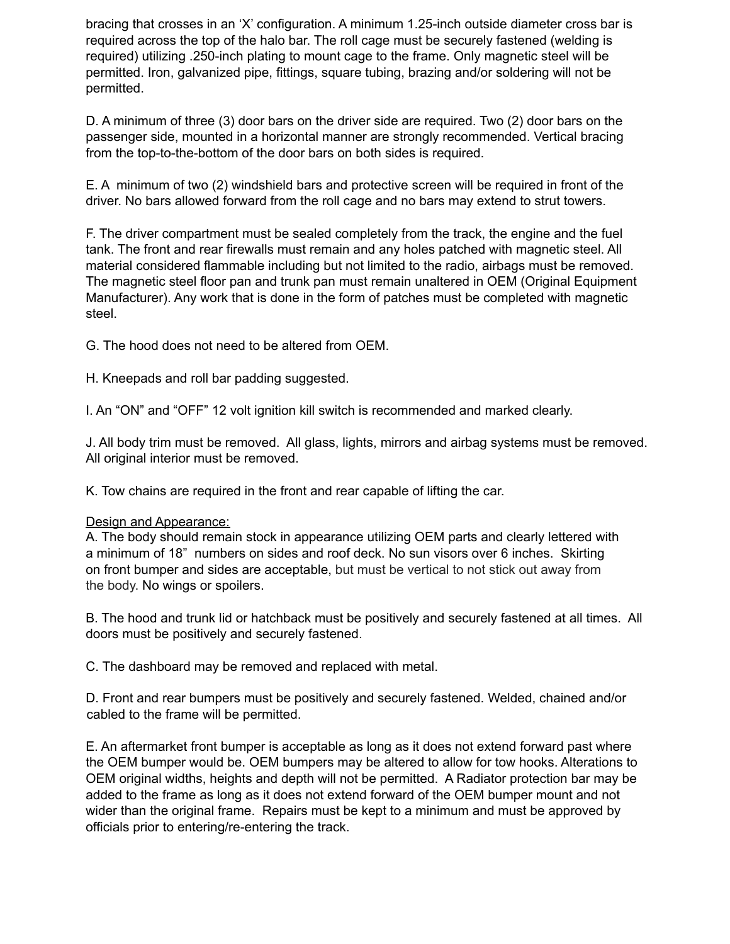bracing that crosses in an 'X' configuration. A minimum 1.25-inch outside diameter cross bar is required across the top of the halo bar. The roll cage must be securely fastened (welding is required) utilizing .250-inch plating to mount cage to the frame. Only magnetic steel will be permitted. Iron, galvanized pipe, fittings, square tubing, brazing and/or soldering will not be permitted.

D. A minimum of three (3) door bars on the driver side are required. Two (2) door bars on the passenger side, mounted in a horizontal manner are strongly recommended. Vertical bracing from the top-to-the-bottom of the door bars on both sides is required.

E. A minimum of two (2) windshield bars and protective screen will be required in front of the driver. No bars allowed forward from the roll cage and no bars may extend to strut towers.

F. The driver compartment must be sealed completely from the track, the engine and the fuel tank. The front and rear firewalls must remain and any holes patched with magnetic steel. All material considered flammable including but not limited to the radio, airbags must be removed. The magnetic steel floor pan and trunk pan must remain unaltered in OEM (Original Equipment Manufacturer). Any work that is done in the form of patches must be completed with magnetic steel.

G. The hood does not need to be altered from OEM.

H. Kneepads and roll bar padding suggested.

I. An "ON" and "OFF" 12 volt ignition kill switch is recommended and marked clearly.

J. All body trim must be removed. All glass, lights, mirrors and airbag systems must be removed. All original interior must be removed.

K. Tow chains are required in the front and rear capable of lifting the car.

## Design and Appearance:

A. The body should remain stock in appearance utilizing OEM parts and clearly lettered with a minimum of 18" numbers on sides and roof deck. No sun visors over 6 inches. Skirting on front bumper and sides are acceptable, but must be vertical to not stick out away from the body. No wings or spoilers.

B. The hood and trunk lid or hatchback must be positively and securely fastened at all times. All doors must be positively and securely fastened.

C. The dashboard may be removed and replaced with metal.

D. Front and rear bumpers must be positively and securely fastened. Welded, chained and/or cabled to the frame will be permitted.

E. An aftermarket front bumper is acceptable as long as it does not extend forward past where the OEM bumper would be. OEM bumpers may be altered to allow for tow hooks. Alterations to OEM original widths, heights and depth will not be permitted. A Radiator protection bar may be added to the frame as long as it does not extend forward of the OEM bumper mount and not wider than the original frame. Repairs must be kept to a minimum and must be approved by officials prior to entering/re-entering the track.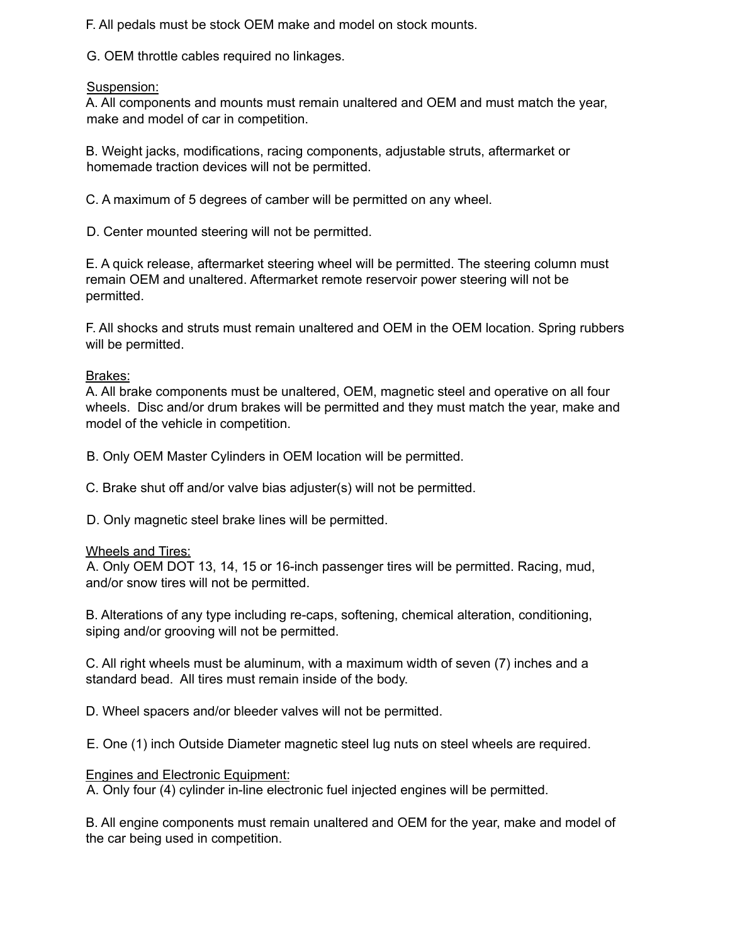F. All pedals must be stock OEM make and model on stock mounts.

G. OEM throttle cables required no linkages.

# Suspension:

A. All components and mounts must remain unaltered and OEM and must match the year, make and model of car in competition.

B. Weight jacks, modifications, racing components, adjustable struts, aftermarket or homemade traction devices will not be permitted.

C. A maximum of 5 degrees of camber will be permitted on any wheel.

D. Center mounted steering will not be permitted.

E. A quick release, aftermarket steering wheel will be permitted. The steering column must remain OEM and unaltered. Aftermarket remote reservoir power steering will not be permitted.

F. All shocks and struts must remain unaltered and OEM in the OEM location. Spring rubbers will be permitted.

# Brakes:

A. All brake components must be unaltered, OEM, magnetic steel and operative on all four wheels. Disc and/or drum brakes will be permitted and they must match the year, make and model of the vehicle in competition.

B. Only OEM Master Cylinders in OEM location will be permitted.

C. Brake shut off and/or valve bias adjuster(s) will not be permitted.

D. Only magnetic steel brake lines will be permitted.

# Wheels and Tires:

A. Only OEM DOT 13, 14, 15 or 16-inch passenger tires will be permitted. Racing, mud, and/or snow tires will not be permitted.

B. Alterations of any type including re-caps, softening, chemical alteration, conditioning, siping and/or grooving will not be permitted.

C. All right wheels must be aluminum, with a maximum width of seven (7) inches and a standard bead. All tires must remain inside of the body.

D. Wheel spacers and/or bleeder valves will not be permitted.

E. One (1) inch Outside Diameter magnetic steel lug nuts on steel wheels are required.

# Engines and Electronic Equipment:

A. Only four (4) cylinder in-line electronic fuel injected engines will be permitted.

B. All engine components must remain unaltered and OEM for the year, make and model of the car being used in competition.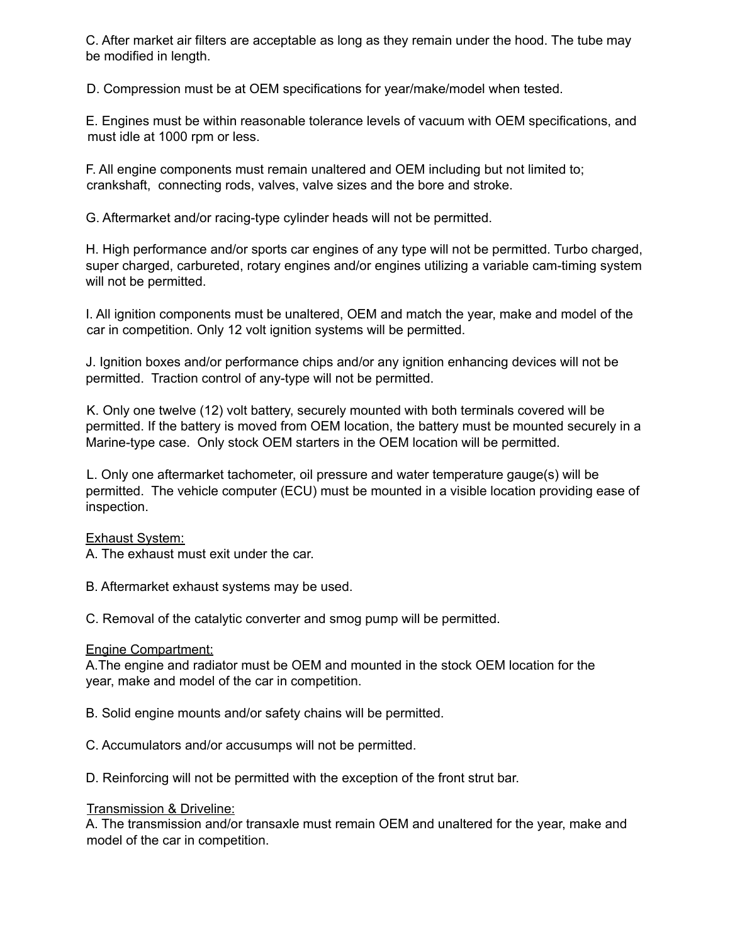C. After market air filters are acceptable as long as they remain under the hood. The tube may be modified in length.

D. Compression must be at OEM specifications for year/make/model when tested.

E. Engines must be within reasonable tolerance levels of vacuum with OEM specifications, and must idle at 1000 rpm or less.

F. All engine components must remain unaltered and OEM including but not limited to; crankshaft, connecting rods, valves, valve sizes and the bore and stroke.

G. Aftermarket and/or racing-type cylinder heads will not be permitted.

H. High performance and/or sports car engines of any type will not be permitted. Turbo charged, super charged, carbureted, rotary engines and/or engines utilizing a variable cam-timing system will not be permitted.

I. All ignition components must be unaltered, OEM and match the year, make and model of the car in competition. Only 12 volt ignition systems will be permitted.

J. Ignition boxes and/or performance chips and/or any ignition enhancing devices will not be permitted. Traction control of any-type will not be permitted.

K. Only one twelve (12) volt battery, securely mounted with both terminals covered will be permitted. If the battery is moved from OEM location, the battery must be mounted securely in a Marine-type case. Only stock OEM starters in the OEM location will be permitted.

L. Only one aftermarket tachometer, oil pressure and water temperature gauge(s) will be permitted. The vehicle computer (ECU) must be mounted in a visible location providing ease of inspection.

#### Exhaust System:

A. The exhaust must exit under the car.

B. Aftermarket exhaust systems may be used.

C. Removal of the catalytic converter and smog pump will be permitted.

#### Engine Compartment:

A.The engine and radiator must be OEM and mounted in the stock OEM location for the year, make and model of the car in competition.

B. Solid engine mounts and/or safety chains will be permitted.

C. Accumulators and/or accusumps will not be permitted.

D. Reinforcing will not be permitted with the exception of the front strut bar.

#### Transmission & Driveline:

A. The transmission and/or transaxle must remain OEM and unaltered for the year, make and model of the car in competition.